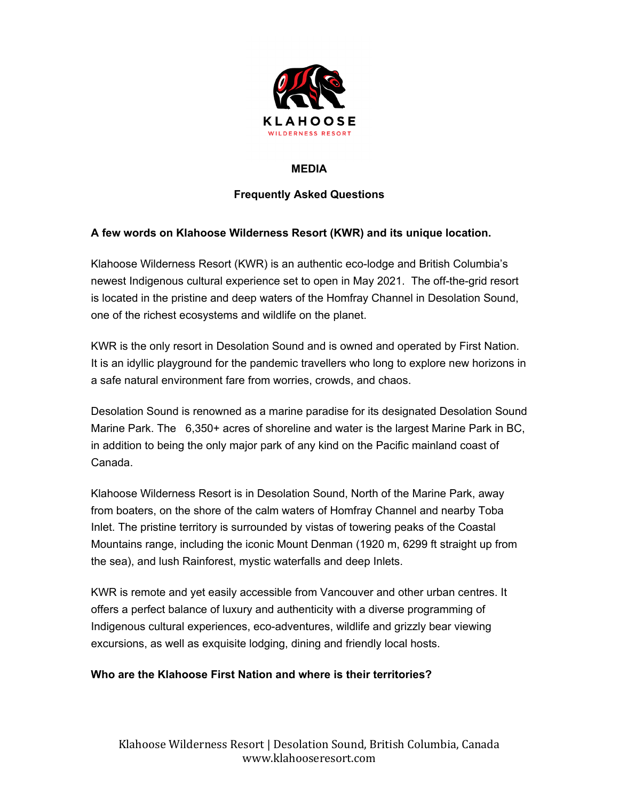

### **MEDIA**

# **Frequently Asked Questions**

## **A few words on Klahoose Wilderness Resort (KWR) and its unique location.**

Klahoose Wilderness Resort (KWR) is an authentic eco-lodge and British Columbia's newest Indigenous cultural experience set to open in May 2021. The off-the-grid resort is located in the pristine and deep waters of the Homfray Channel in Desolation Sound, one of the richest ecosystems and wildlife on the planet.

KWR is the only resort in Desolation Sound and is owned and operated by First Nation. It is an idyllic playground for the pandemic travellers who long to explore new horizons in a safe natural environment fare from worries, crowds, and chaos.

Desolation Sound is renowned as a marine paradise for its designated Desolation Sound Marine Park. The 6,350+ acres of shoreline and water is the largest Marine Park in BC, in addition to being the only major park of any kind on the Pacific mainland coast of Canada.

Klahoose Wilderness Resort is in Desolation Sound, North of the Marine Park, away from boaters, on the shore of the calm waters of Homfray Channel and nearby Toba Inlet. The pristine territory is surrounded by vistas of towering peaks of the Coastal Mountains range, including the iconic Mount Denman (1920 m, 6299 ft straight up from the sea), and lush Rainforest, mystic waterfalls and deep Inlets.

KWR is remote and yet easily accessible from Vancouver and other urban centres. It offers a perfect balance of luxury and authenticity with a diverse programming of Indigenous cultural experiences, eco-adventures, wildlife and grizzly bear viewing excursions, as well as exquisite lodging, dining and friendly local hosts.

### **Who are the Klahoose First Nation and where is their territories?**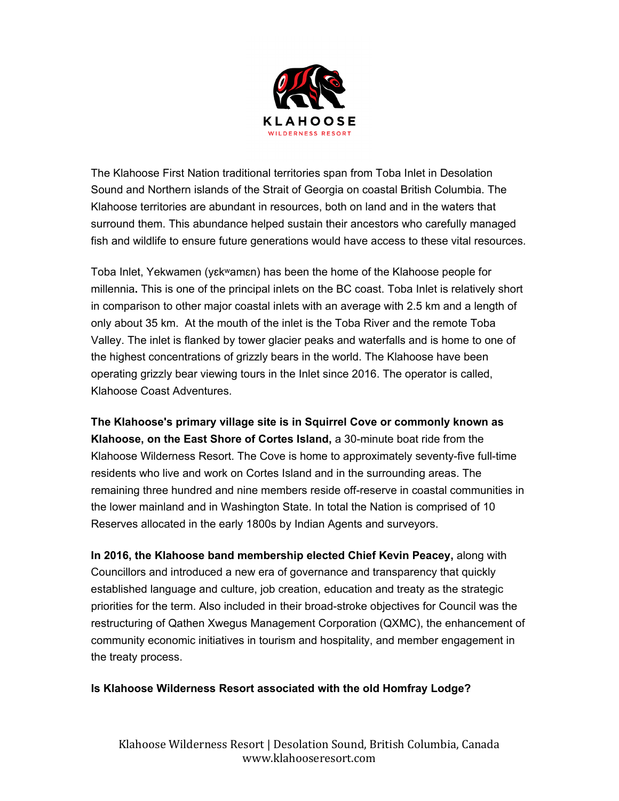

The Klahoose First Nation traditional territories span from Toba Inlet in Desolation Sound and Northern islands of the Strait of Georgia on coastal British Columbia. The Klahoose territories are abundant in resources, both on land and in the waters that surround them. This abundance helped sustain their ancestors who carefully managed fish and wildlife to ensure future generations would have access to these vital resources.

Toba Inlet, Yekwamen (yɛkʷamɛn) has been the home of the Klahoose people for millennia**.** This is one of the principal inlets on the BC coast. Toba Inlet is relatively short in comparison to other major coastal inlets with an average with 2.5 km and a length of only about 35 km. At the mouth of the inlet is the Toba River and the remote Toba Valley. The inlet is flanked by tower glacier peaks and waterfalls and is home to one of the highest concentrations of grizzly bears in the world. The Klahoose have been operating grizzly bear viewing tours in the Inlet since 2016. The operator is called, Klahoose Coast Adventures.

**The Klahoose's primary village site is in Squirrel Cove or commonly known as Klahoose, on the East Shore of Cortes Island,** a 30-minute boat ride from the Klahoose Wilderness Resort. The Cove is home to approximately seventy-five full-time residents who live and work on Cortes Island and in the surrounding areas. The remaining three hundred and nine members reside off-reserve in coastal communities in the lower mainland and in Washington State. In total the Nation is comprised of 10 Reserves allocated in the early 1800s by Indian Agents and surveyors.

**In 2016, the Klahoose band membership elected Chief Kevin Peacey,** along with Councillors and introduced a new era of governance and transparency that quickly established language and culture, job creation, education and treaty as the strategic priorities for the term. Also included in their broad-stroke objectives for Council was the restructuring of Qathen Xwegus Management Corporation (QXMC), the enhancement of community economic initiatives in tourism and hospitality, and member engagement in the treaty process.

#### **Is Klahoose Wilderness Resort associated with the old Homfray Lodge?**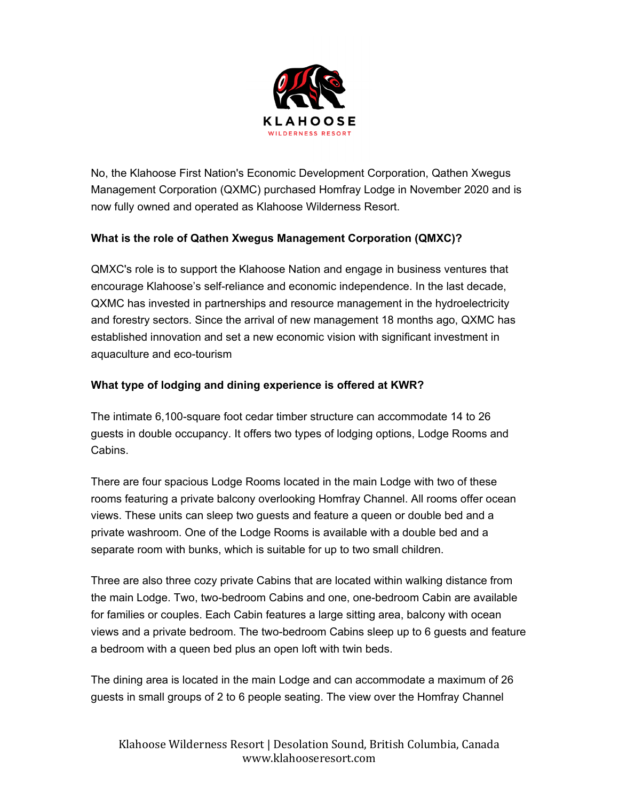

No, the Klahoose First Nation's Economic Development Corporation, Qathen Xwegus Management Corporation (QXMC) purchased Homfray Lodge in November 2020 and is now fully owned and operated as Klahoose Wilderness Resort.

## **What is the role of Qathen Xwegus Management Corporation (QMXC)?**

QMXC's role is to support the Klahoose Nation and engage in business ventures that encourage Klahoose's self-reliance and economic independence. In the last decade, QXMC has invested in partnerships and resource management in the hydroelectricity and forestry sectors. Since the arrival of new management 18 months ago, QXMC has established innovation and set a new economic vision with significant investment in aquaculture and eco-tourism

### **What type of lodging and dining experience is offered at KWR?**

The intimate 6,100-square foot cedar timber structure can accommodate 14 to 26 guests in double occupancy. It offers two types of lodging options, Lodge Rooms and Cabins.

There are four spacious Lodge Rooms located in the main Lodge with two of these rooms featuring a private balcony overlooking Homfray Channel. All rooms offer ocean views. These units can sleep two guests and feature a queen or double bed and a private washroom. One of the Lodge Rooms is available with a double bed and a separate room with bunks, which is suitable for up to two small children.

Three are also three cozy private Cabins that are located within walking distance from the main Lodge. Two, two-bedroom Cabins and one, one-bedroom Cabin are available for families or couples. Each Cabin features a large sitting area, balcony with ocean views and a private bedroom. The two-bedroom Cabins sleep up to 6 guests and feature a bedroom with a queen bed plus an open loft with twin beds.

The dining area is located in the main Lodge and can accommodate a maximum of 26 guests in small groups of 2 to 6 people seating. The view over the Homfray Channel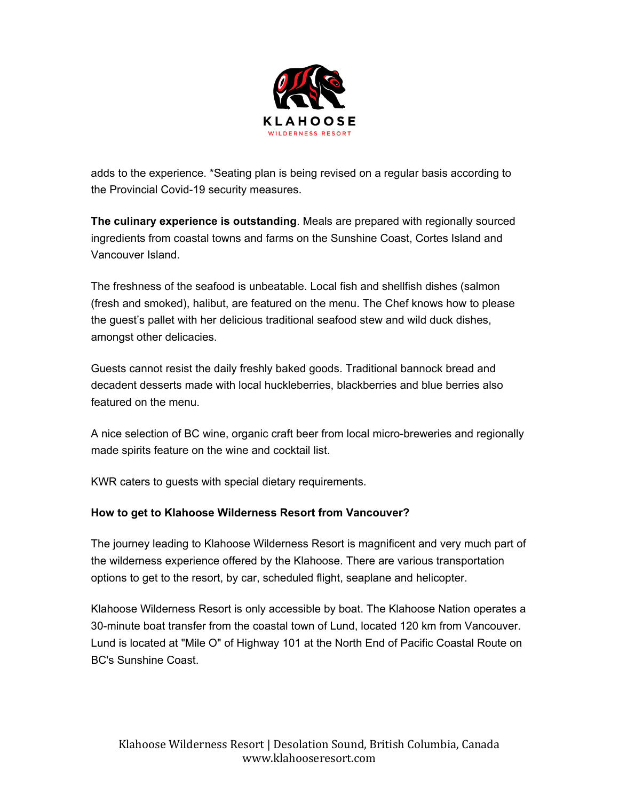

adds to the experience. \*Seating plan is being revised on a regular basis according to the Provincial Covid-19 security measures.

**The culinary experience is outstanding**. Meals are prepared with regionally sourced ingredients from coastal towns and farms on the Sunshine Coast, Cortes Island and Vancouver Island.

The freshness of the seafood is unbeatable. Local fish and shellfish dishes (salmon (fresh and smoked), halibut, are featured on the menu. The Chef knows how to please the guest's pallet with her delicious traditional seafood stew and wild duck dishes, amongst other delicacies.

Guests cannot resist the daily freshly baked goods. Traditional bannock bread and decadent desserts made with local huckleberries, blackberries and blue berries also featured on the menu.

A nice selection of BC wine, organic craft beer from local micro-breweries and regionally made spirits feature on the wine and cocktail list.

KWR caters to guests with special dietary requirements.

# **How to get to Klahoose Wilderness Resort from Vancouver?**

The journey leading to Klahoose Wilderness Resort is magnificent and very much part of the wilderness experience offered by the Klahoose. There are various transportation options to get to the resort, by car, scheduled flight, seaplane and helicopter.

Klahoose Wilderness Resort is only accessible by boat. The Klahoose Nation operates a 30-minute boat transfer from the coastal town of Lund, located 120 km from Vancouver. Lund is located at "Mile O" of Highway 101 at the North End of Pacific Coastal Route on BC's Sunshine Coast.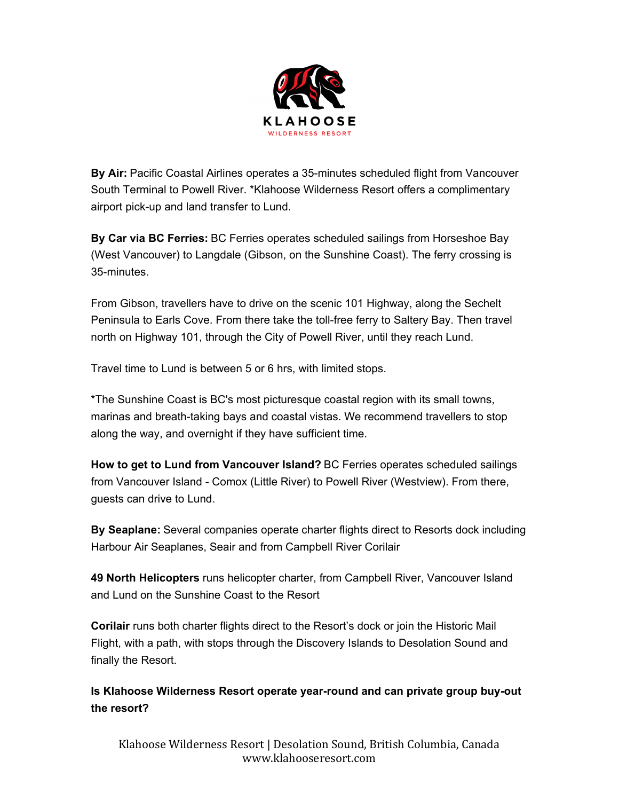

**By Air:** Pacific Coastal Airlines operates a 35-minutes scheduled flight from Vancouver South Terminal to Powell River. \*Klahoose Wilderness Resort offers a complimentary airport pick-up and land transfer to Lund.

**By Car via BC Ferries:** BC Ferries operates scheduled sailings from Horseshoe Bay (West Vancouver) to Langdale (Gibson, on the Sunshine Coast). The ferry crossing is 35-minutes.

From Gibson, travellers have to drive on the scenic 101 Highway, along the Sechelt Peninsula to Earls Cove. From there take the toll-free ferry to Saltery Bay. Then travel north on Highway 101, through the City of Powell River, until they reach Lund.

Travel time to Lund is between 5 or 6 hrs, with limited stops.

\*The Sunshine Coast is BC's most picturesque coastal region with its small towns, marinas and breath-taking bays and coastal vistas. We recommend travellers to stop along the way, and overnight if they have sufficient time.

**How to get to Lund from Vancouver Island?** BC Ferries operates scheduled sailings from Vancouver Island - Comox (Little River) to Powell River (Westview). From there, guests can drive to Lund.

**By Seaplane:** Several companies operate charter flights direct to Resorts dock including Harbour Air Seaplanes, Seair and from Campbell River Corilair

**49 North Helicopters** runs helicopter charter, from Campbell River, Vancouver Island and Lund on the Sunshine Coast to the Resort

**Corilair** runs both charter flights direct to the Resort's dock or join the Historic Mail Flight, with a path, with stops through the Discovery Islands to Desolation Sound and finally the Resort.

**Is Klahoose Wilderness Resort operate year-round and can private group buy-out the resort?**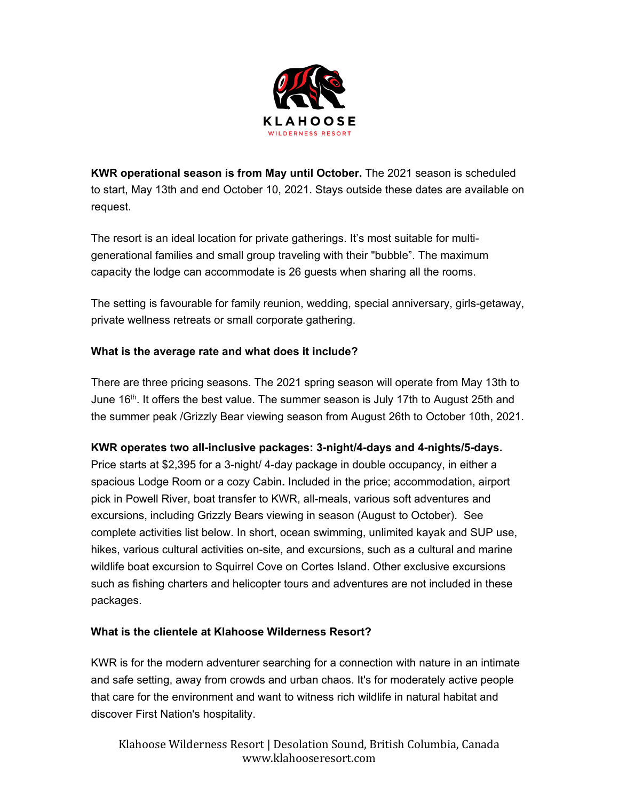

**KWR operational season is from May until October.** The 2021 season is scheduled to start, May 13th and end October 10, 2021. Stays outside these dates are available on request.

The resort is an ideal location for private gatherings. It's most suitable for multigenerational families and small group traveling with their "bubble". The maximum capacity the lodge can accommodate is 26 guests when sharing all the rooms.

The setting is favourable for family reunion, wedding, special anniversary, girls-getaway, private wellness retreats or small corporate gathering.

### **What is the average rate and what does it include?**

There are three pricing seasons. The 2021 spring season will operate from May 13th to June 16<sup>th</sup>. It offers the best value. The summer season is July 17th to August 25th and the summer peak /Grizzly Bear viewing season from August 26th to October 10th, 2021.

### **KWR operates two all-inclusive packages: 3-night/4-days and 4-nights/5-days.**

Price starts at \$2,395 for a 3-night/ 4-day package in double occupancy, in either a spacious Lodge Room or a cozy Cabin**.** Included in the price; accommodation, airport pick in Powell River, boat transfer to KWR, all-meals, various soft adventures and excursions, including Grizzly Bears viewing in season (August to October). See complete activities list below. In short, ocean swimming, unlimited kayak and SUP use, hikes, various cultural activities on-site, and excursions, such as a cultural and marine wildlife boat excursion to Squirrel Cove on Cortes Island. Other exclusive excursions such as fishing charters and helicopter tours and adventures are not included in these packages.

### **What is the clientele at Klahoose Wilderness Resort?**

KWR is for the modern adventurer searching for a connection with nature in an intimate and safe setting, away from crowds and urban chaos. It's for moderately active people that care for the environment and want to witness rich wildlife in natural habitat and discover First Nation's hospitality.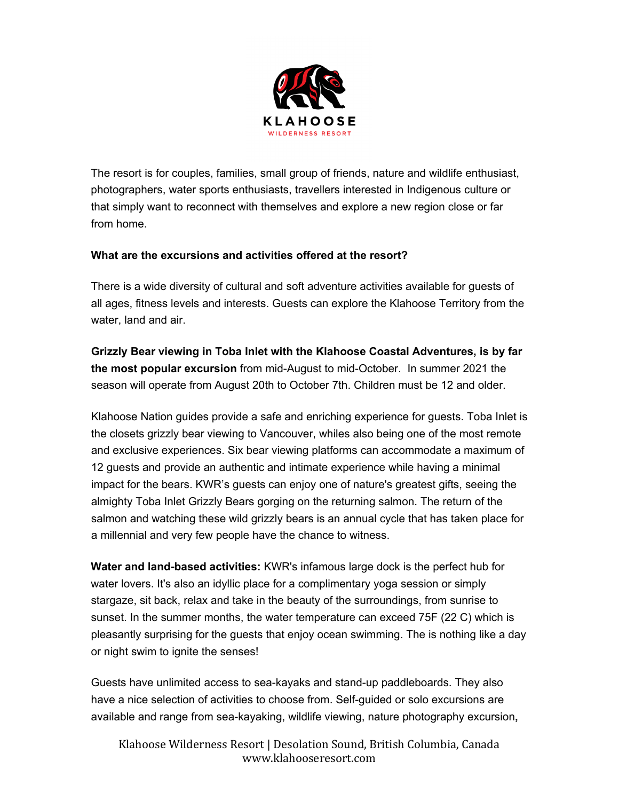

The resort is for couples, families, small group of friends, nature and wildlife enthusiast, photographers, water sports enthusiasts, travellers interested in Indigenous culture or that simply want to reconnect with themselves and explore a new region close or far from home.

### **What are the excursions and activities offered at the resort?**

There is a wide diversity of cultural and soft adventure activities available for guests of all ages, fitness levels and interests. Guests can explore the Klahoose Territory from the water, land and air.

**Grizzly Bear viewing in Toba Inlet with the Klahoose Coastal Adventures, is by far the most popular excursion** from mid-August to mid-October. In summer 2021 the season will operate from August 20th to October 7th. Children must be 12 and older.

Klahoose Nation guides provide a safe and enriching experience for guests. Toba Inlet is the closets grizzly bear viewing to Vancouver, whiles also being one of the most remote and exclusive experiences. Six bear viewing platforms can accommodate a maximum of 12 guests and provide an authentic and intimate experience while having a minimal impact for the bears. KWR's guests can enjoy one of nature's greatest gifts, seeing the almighty Toba Inlet Grizzly Bears gorging on the returning salmon. The return of the salmon and watching these wild grizzly bears is an annual cycle that has taken place for a millennial and very few people have the chance to witness.

**Water and land-based activities:** KWR's infamous large dock is the perfect hub for water lovers. It's also an idyllic place for a complimentary yoga session or simply stargaze, sit back, relax and take in the beauty of the surroundings, from sunrise to sunset. In the summer months, the water temperature can exceed 75F (22 C) which is pleasantly surprising for the guests that enjoy ocean swimming. The is nothing like a day or night swim to ignite the senses!

Guests have unlimited access to sea-kayaks and stand-up paddleboards. They also have a nice selection of activities to choose from. Self-guided or solo excursions are available and range from sea-kayaking, wildlife viewing, nature photography excursion**,**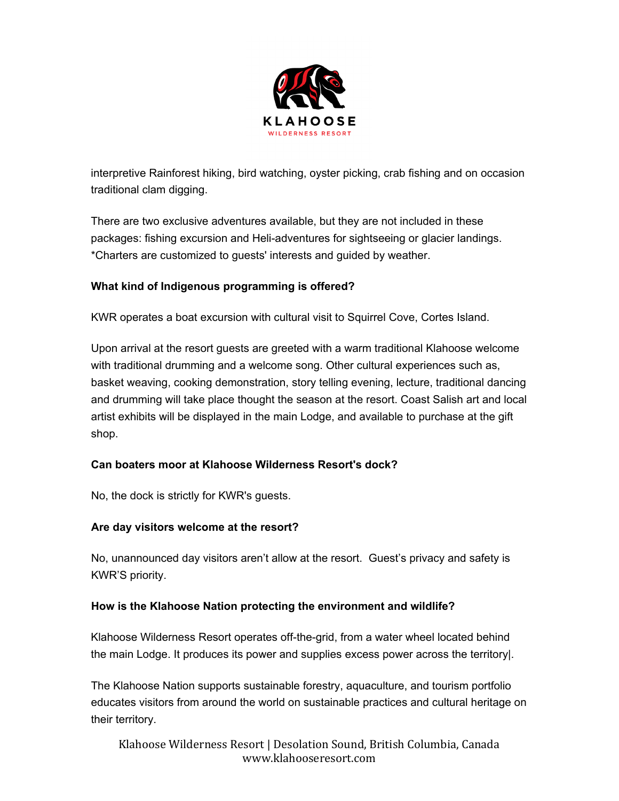

interpretive Rainforest hiking, bird watching, oyster picking, crab fishing and on occasion traditional clam digging.

There are two exclusive adventures available, but they are not included in these packages: fishing excursion and Heli-adventures for sightseeing or glacier landings. \*Charters are customized to guests' interests and guided by weather.

## **What kind of Indigenous programming is offered?**

KWR operates a boat excursion with cultural visit to Squirrel Cove, Cortes Island.

Upon arrival at the resort guests are greeted with a warm traditional Klahoose welcome with traditional drumming and a welcome song. Other cultural experiences such as, basket weaving, cooking demonstration, story telling evening, lecture, traditional dancing and drumming will take place thought the season at the resort. Coast Salish art and local artist exhibits will be displayed in the main Lodge, and available to purchase at the gift shop.

### **Can boaters moor at Klahoose Wilderness Resort's dock?**

No, the dock is strictly for KWR's guests.

### **Are day visitors welcome at the resort?**

No, unannounced day visitors aren't allow at the resort. Guest's privacy and safety is KWR'S priority.

### **How is the Klahoose Nation protecting the environment and wildlife?**

Klahoose Wilderness Resort operates off-the-grid, from a water wheel located behind the main Lodge. It produces its power and supplies excess power across the territory|.

The Klahoose Nation supports sustainable forestry, aquaculture, and tourism portfolio educates visitors from around the world on sustainable practices and cultural heritage on their territory.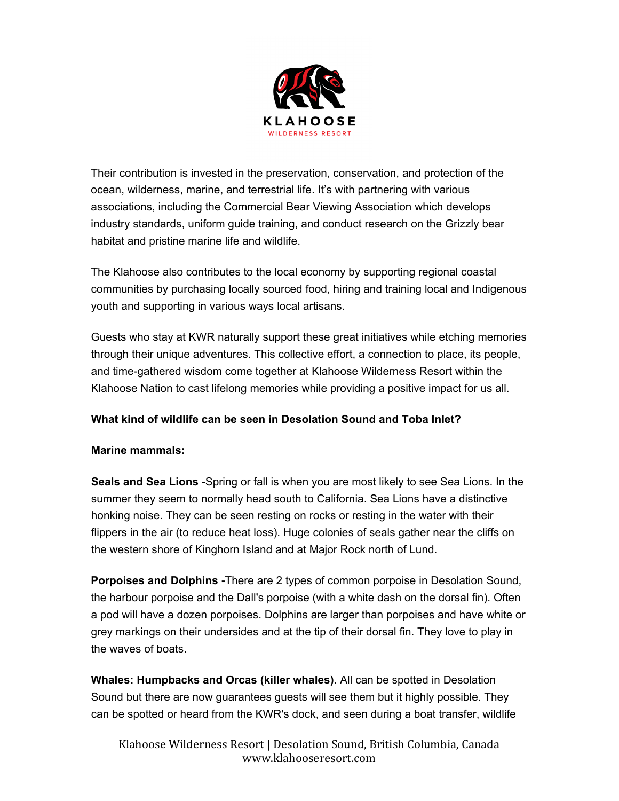

Their contribution is invested in the preservation, conservation, and protection of the ocean, wilderness, marine, and terrestrial life. It's with partnering with various associations, including the Commercial Bear Viewing Association which develops industry standards, uniform guide training, and conduct research on the Grizzly bear habitat and pristine marine life and wildlife.

The Klahoose also contributes to the local economy by supporting regional coastal communities by purchasing locally sourced food, hiring and training local and Indigenous youth and supporting in various ways local artisans.

Guests who stay at KWR naturally support these great initiatives while etching memories through their unique adventures. This collective effort, a connection to place, its people, and time-gathered wisdom come together at Klahoose Wilderness Resort within the Klahoose Nation to cast lifelong memories while providing a positive impact for us all.

### **What kind of wildlife can be seen in Desolation Sound and Toba Inlet?**

### **Marine mammals:**

**Seals and Sea Lions** -Spring or fall is when you are most likely to see Sea Lions. In the summer they seem to normally head south to California. Sea Lions have a distinctive honking noise. They can be seen resting on rocks or resting in the water with their flippers in the air (to reduce heat loss). Huge colonies of seals gather near the cliffs on the western shore of Kinghorn Island and at Major Rock north of Lund.

**Porpoises and Dolphins -**There are 2 types of common porpoise in Desolation Sound, the harbour porpoise and the Dall's porpoise (with a white dash on the dorsal fin). Often a pod will have a dozen porpoises. Dolphins are larger than porpoises and have white or grey markings on their undersides and at the tip of their dorsal fin. They love to play in the waves of boats.

**Whales: Humpbacks and Orcas (killer whales).** All can be spotted in Desolation Sound but there are now guarantees guests will see them but it highly possible. They can be spotted or heard from the KWR's dock, and seen during a boat transfer, wildlife